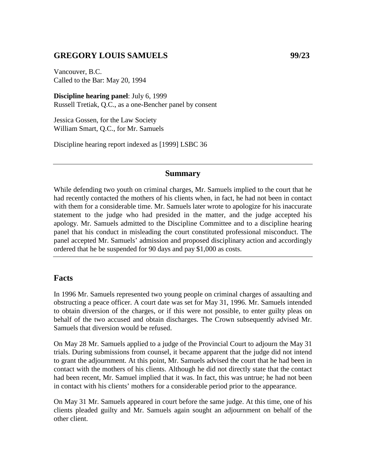## **GREGORY LOUIS SAMUELS 99/23**

Vancouver, B.C. Called to the Bar: May 20, 1994

**Discipline hearing panel**: July 6, 1999 Russell Tretiak, Q.C., as a one-Bencher panel by consent

Jessica Gossen, for the Law Society William Smart, Q.C., for Mr. Samuels

Discipline hearing report indexed as [1999] LSBC 36

#### **Summary**

While defending two youth on criminal charges, Mr. Samuels implied to the court that he had recently contacted the mothers of his clients when, in fact, he had not been in contact with them for a considerable time. Mr. Samuels later wrote to apologize for his inaccurate statement to the judge who had presided in the matter, and the judge accepted his apology. Mr. Samuels admitted to the Discipline Committee and to a discipline hearing panel that his conduct in misleading the court constituted professional misconduct. The panel accepted Mr. Samuels' admission and proposed disciplinary action and accordingly ordered that he be suspended for 90 days and pay \$1,000 as costs.

### **Facts**

In 1996 Mr. Samuels represented two young people on criminal charges of assaulting and obstructing a peace officer. A court date was set for May 31, 1996. Mr. Samuels intended to obtain diversion of the charges, or if this were not possible, to enter guilty pleas on behalf of the two accused and obtain discharges. The Crown subsequently advised Mr. Samuels that diversion would be refused.

On May 28 Mr. Samuels applied to a judge of the Provincial Court to adjourn the May 31 trials. During submissions from counsel, it became apparent that the judge did not intend to grant the adjournment. At this point, Mr. Samuels advised the court that he had been in contact with the mothers of his clients. Although he did not directly state that the contact had been recent, Mr. Samuel implied that it was. In fact, this was untrue; he had not been in contact with his clients' mothers for a considerable period prior to the appearance.

On May 31 Mr. Samuels appeared in court before the same judge. At this time, one of his clients pleaded guilty and Mr. Samuels again sought an adjournment on behalf of the other client.